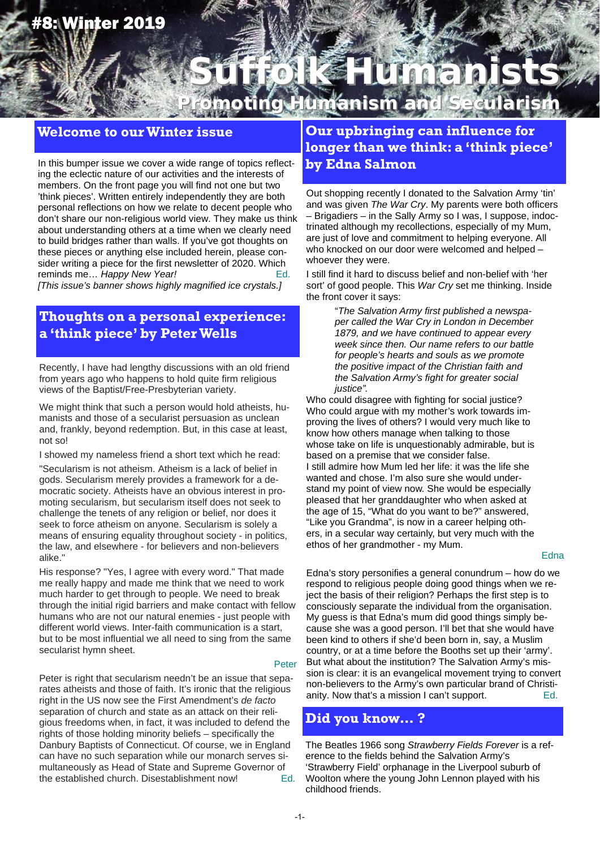# #8: Winter 2019

# **Suffolk Humanists Suffolk Humanists Promoting Humanism and Secularism**

## **Welcome to our Winter issue**

In this bumper issue we cover a wide range of topics reflecting the eclectic nature of our activities and the interests of members. On the front page you will find not one but two 'think pieces'. Written entirely independently they are both personal reflections on how we relate to decent people who don't share our non-religious world view. They make us think about understanding others at a time when we clearly need to build bridges rather than walls. If you've got thoughts on these pieces or anything else included herein, please consider writing a piece for the first newsletter of 2020. Which reminds me... *Happy New Year!* The many control of the Ed.

*[This issue's banner shows highly magnified ice crystals.]*

## **Thoughts on a personal experience: a 'think piece' by Peter Wells**

Recently, I have had lengthy discussions with an old friend from years ago who happens to hold quite firm religious views of the Baptist/Free-Presbyterian variety.

We might think that such a person would hold atheists, humanists and those of a secularist persuasion as unclean and, frankly, beyond redemption. But, in this case at least, not so!

I showed my nameless friend a short text which he read:

"Secularism is not atheism. Atheism is a lack of belief in gods. Secularism merely provides a framework for a democratic society. Atheists have an obvious interest in promoting secularism, but secularism itself does not seek to challenge the tenets of any religion or belief, nor does it seek to force atheism on anyone. Secularism is solely a means of ensuring equality throughout society - in politics, the law, and elsewhere - for believers and non-believers alike."

His response? "Yes, I agree with every word." That made me really happy and made me think that we need to work much harder to get through to people. We need to break through the initial rigid barriers and make contact with fellow humans who are not our natural enemies - just people with different world views. Inter-faith communication is a start, but to be most influential we all need to sing from the same secularist hymn sheet.

#### Peter

Peter is right that secularism needn't be an issue that separates atheists and those of faith. It's ironic that the religious right in the US now see the First Amendment's *de facto* separation of church and state as an attack on their religious freedoms when, in fact, it was included to defend the rights of those holding minority beliefs – specifically the Danbury Baptists of Connecticut. Of course, we in England can have no such separation while our monarch serves simultaneously as Head of State and Supreme Governor of the established church. Disestablishment now! Ed.

# **Our upbringing can influence for longer than we think: a 'think piece' by Edna Salmon**

Out shopping recently I donated to the Salvation Army 'tin' and was given *The War Cry*. My parents were both officers – Brigadiers – in the Sally Army so I was, I suppose, indoctrinated although my recollections, especially of my Mum, are just of love and commitment to helping everyone. All who knocked on our door were welcomed and helped – whoever they were.

I still find it hard to discuss belief and non-belief with 'her sort' of good people. This *War Cry* set me thinking. Inside the front cover it says:

> "*The Salvation Army first published a newspaper called the War Cry in London in December 1879, and we have continued to appear every week since then. Our name refers to our battle for people's hearts and souls as we promote the positive impact of the Christian faith and the Salvation Army's fight for greater social justice".*

Who could disagree with fighting for social justice? Who could argue with my mother's work towards improving the lives of others? I would very much like to know how others manage when talking to those whose take on life is unquestionably admirable, but is based on a premise that we consider false. I still admire how Mum led her life: it was the life she wanted and chose. I'm also sure she would understand my point of view now. She would be especially pleased that her granddaughter who when asked at the age of 15, "What do you want to be?" answered, "Like you Grandma", is now in a career helping others, in a secular way certainly, but very much with the ethos of her grandmother - my Mum.

#### **Edna**

Edna's story personifies a general conundrum – how do we respond to religious people doing good things when we reject the basis of their religion? Perhaps the first step is to consciously separate the individual from the organisation. My guess is that Edna's mum did good things simply because she was a good person. I'll bet that she would have been kind to others if she'd been born in, say, a Muslim country, or at a time before the Booths set up their 'army'. But what about the institution? The Salvation Army's mission is clear: it is an evangelical movement trying to convert non-believers to the Army's own particular brand of Christianity. Now that's a mission I can't support. Ed.

## **Did you know… ?**

The Beatles 1966 song *Strawberry Fields Forever* is a reference to the fields behind the Salvation Army's 'Strawberry Field' orphanage in the Liverpool suburb of Woolton where the young John Lennon played with his childhood friends.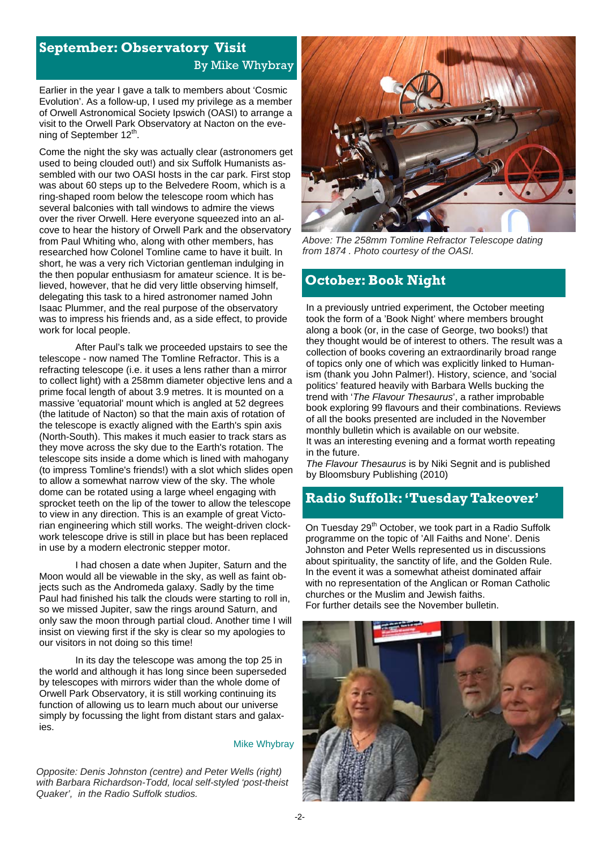# **September: Observatory Visit**  By Mike Whybray

Earlier in the year I gave a talk to members about 'Cosmic Evolution'. As a follow-up, I used my privilege as a member of Orwell Astronomical Society Ipswich (OASI) to arrange a visit to the Orwell Park Observatory at Nacton on the evening of September 12<sup>th</sup>.

Come the night the sky was actually clear (astronomers get used to being clouded out!) and six Suffolk Humanists assembled with our two OASI hosts in the car park. First stop was about 60 steps up to the Belvedere Room, which is a ring-shaped room below the telescope room which has several balconies with tall windows to admire the views over the river Orwell. Here everyone squeezed into an alcove to hear the history of Orwell Park and the observatory from Paul Whiting who, along with other members, has researched how Colonel Tomline came to have it built. In short, he was a very rich Victorian gentleman indulging in the then popular enthusiasm for amateur science. It is believed, however, that he did very little observing himself, delegating this task to a hired astronomer named John Isaac Plummer, and the real purpose of the observatory was to impress his friends and, as a side effect, to provide work for local people.

 After Paul's talk we proceeded upstairs to see the telescope - now named The Tomline Refractor. This is a refracting telescope (i.e. it uses a lens rather than a mirror to collect light) with a 258mm diameter objective lens and a prime focal length of about 3.9 metres. It is mounted on a massive 'equatorial' mount which is angled at 52 degrees (the latitude of Nacton) so that the main axis of rotation of the telescope is exactly aligned with the Earth's spin axis (North-South). This makes it much easier to track stars as they move across the sky due to the Earth's rotation. The telescope sits inside a dome which is lined with mahogany (to impress Tomline's friends!) with a slot which slides open to allow a somewhat narrow view of the sky. The whole dome can be rotated using a large wheel engaging with sprocket teeth on the lip of the tower to allow the telescope to view in any direction. This is an example of great Victorian engineering which still works. The weight-driven clockwork telescope drive is still in place but has been replaced in use by a modern electronic stepper motor.

I had chosen a date when Jupiter, Saturn and the Moon would all be viewable in the sky, as well as faint objects such as the Andromeda galaxy. Sadly by the time Paul had finished his talk the clouds were starting to roll in, so we missed Jupiter, saw the rings around Saturn, and only saw the moon through partial cloud. Another time I will insist on viewing first if the sky is clear so my apologies to our visitors in not doing so this time!

 In its day the telescope was among the top 25 in the world and although it has long since been superseded by telescopes with mirrors wider than the whole dome of Orwell Park Observatory, it is still working continuing its function of allowing us to learn much about our universe simply by focussing the light from distant stars and galaxies.

#### Mike Whybray

*Opposite: Denis Johnston (centre) and Peter Wells (right) with Barbara Richardson-Todd, local self-styled 'post-theist Quaker', in the Radio Suffolk studios.* 



*Above: The 258mm Tomline Refractor Telescope dating from 1874 . Photo courtesy of the OASI.* 

## **October: Book Night**

In a previously untried experiment, the October meeting took the form of a 'Book Night' where members brought along a book (or, in the case of George, two books!) that they thought would be of interest to others. The result was a collection of books covering an extraordinarily broad range of topics only one of which was explicitly linked to Humanism (thank you John Palmer!). History, science, and 'social politics' featured heavily with Barbara Wells bucking the trend with '*The Flavour Thesaurus*', a rather improbable book exploring 99 flavours and their combinations. Reviews of all the books presented are included in the November monthly bulletin which is available on our website. It was an interesting evening and a format worth repeating in the future.

*The Flavour Thesaurus* is by Niki Segnit and is published by Bloomsbury Publishing (2010)

## **Radio Suffolk: 'Tuesday Takeover'**

On Tuesday 29<sup>th</sup> October, we took part in a Radio Suffolk programme on the topic of 'All Faiths and None'. Denis Johnston and Peter Wells represented us in discussions about spirituality, the sanctity of life, and the Golden Rule. In the event it was a somewhat atheist dominated affair with no representation of the Anglican or Roman Catholic churches or the Muslim and Jewish faiths. For further details see the November bulletin.

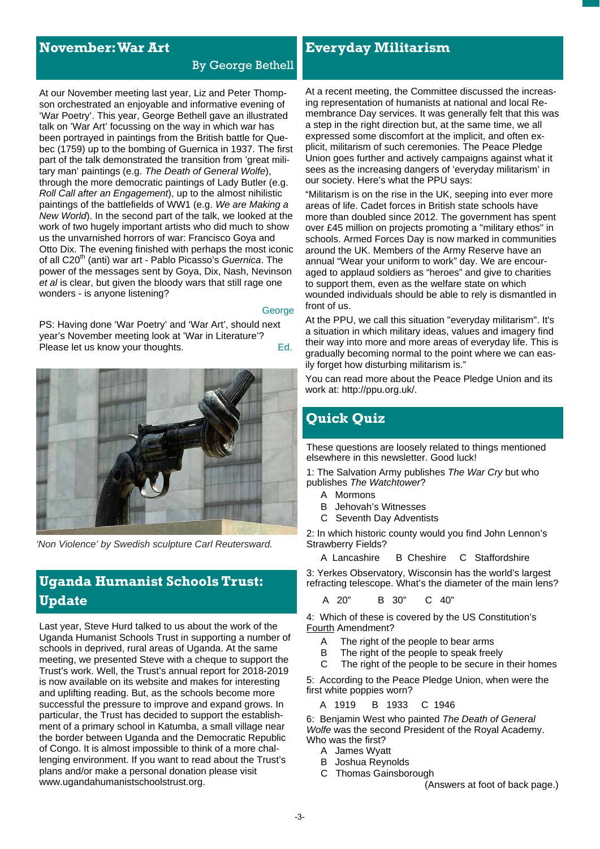## **November: War Art**

#### By George Bethell

At our November meeting last year, Liz and Peter Thompson orchestrated an enjoyable and informative evening of 'War Poetry'. This year, George Bethell gave an illustrated talk on 'War Art' focussing on the way in which war has been portrayed in paintings from the British battle for Quebec (1759) up to the bombing of Guernica in 1937. The first part of the talk demonstrated the transition from 'great military man' paintings (e.g. *The Death of General Wolfe*), through the more democratic paintings of Lady Butler (e.g. *Roll Call after an Engagement*), up to the almost nihilistic paintings of the battlefields of WW1 (e.g. *We are Making a New World*). In the second part of the talk, we looked at the work of two hugely important artists who did much to show us the unvarnished horrors of war: Francisco Goya and Otto Dix. The evening finished with perhaps the most iconic of all C20<sup>th</sup> (anti) war art - Pablo Picasso's *Guernica*. The power of the messages sent by Goya, Dix, Nash, Nevinson *et al* is clear, but given the bloody wars that still rage one wonders - is anyone listening?

#### **George**

PS: Having done 'War Poetry' and 'War Art', should next year's November meeting look at 'War in Literature'? Please let us know your thoughts. The example of the Ed.



*'Non Violence' by Swedish sculpture Carl Reutersward.* 

# **Uganda Humanist Schools Trust: Update**

Last year, Steve Hurd talked to us about the work of the Uganda Humanist Schools Trust in supporting a number of schools in deprived, rural areas of Uganda. At the same meeting, we presented Steve with a cheque to support the Trust's work. Well, the Trust's annual report for 2018-2019 is now available on its website and makes for interesting and uplifting reading. But, as the schools become more successful the pressure to improve and expand grows. In particular, the Trust has decided to support the establishment of a primary school in Katumba, a small village near the border between Uganda and the Democratic Republic of Congo. It is almost impossible to think of a more challenging environment. If you want to read about the Trust's plans and/or make a personal donation please visit www.ugandahumanistschoolstrust.org.

**Everyday Militarism**

At a recent meeting, the Committee discussed the increasing representation of humanists at national and local Remembrance Day services. It was generally felt that this was a step in the right direction but, at the same time, we all expressed some discomfort at the implicit, and often explicit, militarism of such ceremonies. The Peace Pledge Union goes further and actively campaigns against what it sees as the increasing dangers of 'everyday militarism' in our society. Here's what the PPU says:

"Militarism is on the rise in the UK, seeping into ever more areas of life. Cadet forces in British state schools have more than doubled since 2012. The government has spent over £45 million on projects promoting a "military ethos" in schools. Armed Forces Day is now marked in communities around the UK. Members of the Army Reserve have an annual "Wear your uniform to work" day. We are encouraged to applaud soldiers as "heroes" and give to charities to support them, even as the welfare state on which wounded individuals should be able to rely is dismantled in front of us.

At the PPU, we call this situation "everyday militarism". It's a situation in which military ideas, values and imagery find their way into more and more areas of everyday life. This is gradually becoming normal to the point where we can easily forget how disturbing militarism is."

You can read more about the Peace Pledge Union and its work at: http://ppu.org.uk/.

# **Quick Quiz**

These questions are loosely related to things mentioned elsewhere in this newsletter. Good luck!

1: The Salvation Army publishes *The War Cry* but who publishes *The Watchtower*?

- A Mormons
- B Jehovah's Witnesses
- C Seventh Day Adventists

2: In which historic county would you find John Lennon's Strawberry Fields?

A Lancashire B Cheshire C Staffordshire

3: Yerkes Observatory, Wisconsin has the world's largest refracting telescope. What's the diameter of the main lens?

A 20" B 30" C 40"

4: Which of these is covered by the US Constitution's Fourth Amendment?

- A The right of the people to bear arms
- B The right of the people to speak freely
- C The right of the people to be secure in their homes

5: According to the Peace Pledge Union, when were the first white poppies worn?

A 1919 B 1933 C 1946

6: Benjamin West who painted *The Death of General Wolfe* was the second President of the Royal Academy. Who was the first?

- A James Wyatt
- B Joshua Reynolds
- C Thomas Gainsborough

(Answers at foot of back page.)